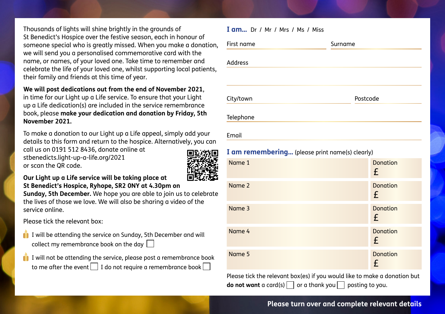Thousands of lights will shine brightly in the grounds of St Benedict's Hospice over the festive season, each in honour of someone special who is greatly missed. When you make a donation, we will send you a personalised commemorative card with the name, or names, of your loved one. Take time to remember and celebrate the life of your loved one, whilst supporting local patients, their family and friends at this time of year.

#### **We will post dedications out from the end of November 2021**,

in time for our Light up a Life service. To ensure that your Light up a Life dedication(s) are included in the service remembrance book, please **make your dedication and donation by Friday, 5th November 2021.**

To make a donation to our Light up a Life appeal, simply add your details to this form and return to the hospice. Alternatively, you can

call us on 0191 512 8436, donate online at stbenedicts.light-up-a-life.org/2021 or scan the QR code.



**Our Light up a Life service will be taking place at St Benedict's Hospice, Ryhope, SR2 0NY at 4.30pm on** 

**Sunday, 5th December.** We hope you are able to join us to celebrate the lives of those we love. We will also be sharing a video of the service online.

Please tick the relevant box:

- $\Box$  I will be attending the service on Sunday, 5th December and will collect my remembrance book on the day
- $\mathbf{I}$  I will not be attending the service, please post a remembrance book to me after the event  $\Box$  I do not require a remembrance book  $\Box$

# **I am...** Dr / Mr / Mrs / Ms / Miss First name Surname

Address

City/town **Postcode** 

Telephone

Email

# **I am remembering…** (please print name(s) clearly)

| Name 1 | <b>Donation</b><br>£ |
|--------|----------------------|
| Name 2 | <b>Donation</b><br>£ |
| Name 3 | <b>Donation</b><br>£ |
| Name 4 | <b>Donation</b><br>£ |
| Name 5 | <b>Donation</b><br>£ |

Please tick the relevant box(es) if you would like to make a donation but **do not want** a card(s)  $\Box$  or a thank you  $\Box$  posting to you.

## **Please turn over and complete relevant details**